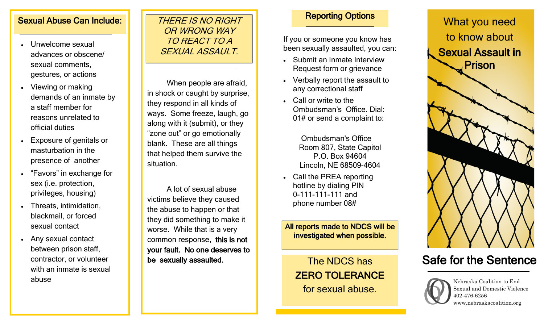### Sexual Abuse Can Include:

- Unwelcome sexual advances or obscene/ sexual comments, gestures, or actions
- Viewing or making demands of an inmate by a staff member for reasons unrelated to official duties
- Exposure of genitals or masturbation in the presence of another
- "Favors" in exchange for sex (i.e. protection, privileges, housing)
- Threats, intimidation, blackmail, or forced sexual contact
- Any sexual contact between prison staff, contractor, or volunteer with an inmate is sexual abuse

### THERE IS NO RIGHT OR WRONG WAY TO REACT TO A SEXUAL ASSAULT.

When people are afraid, in shock or caught by surprise, they respond in all kinds of ways. Some freeze, laugh, go along with it (submit), or they "zone out" or go emotionally blank. These are all things that helped them survive the situation.

A lot of sexual abuse victims believe they caused the abuse to happen or that they did something to make it worse. While that is a very common response, this is not your fault. No one deserves to be sexually assaulted.

### Reporting Options

If you or someone you know has been sexually assaulted, you can:

- Submit an Inmate Interview Request form or grievance
- Verbally report the assault to any correctional staff
- Call or write to the Ombudsman's Office. Dial: 01# or send a complaint to:

Ombudsman's Office Room 807, State Capitol P.O. Box 94604 Lincoln, NE 68509-4604

 Call the PREA reporting hotline by dialing PIN 0-111-111-111 and phone number 08#

All reports made to NDCS will be investigated when possible.

The NDCS has ZERO TOLERANCE for sexual abuse.



# Safe for the Sentence



Nebraska Coalition to End Sexual and Domestic Violence 402-476-6256 www.nebraskacoalition.org